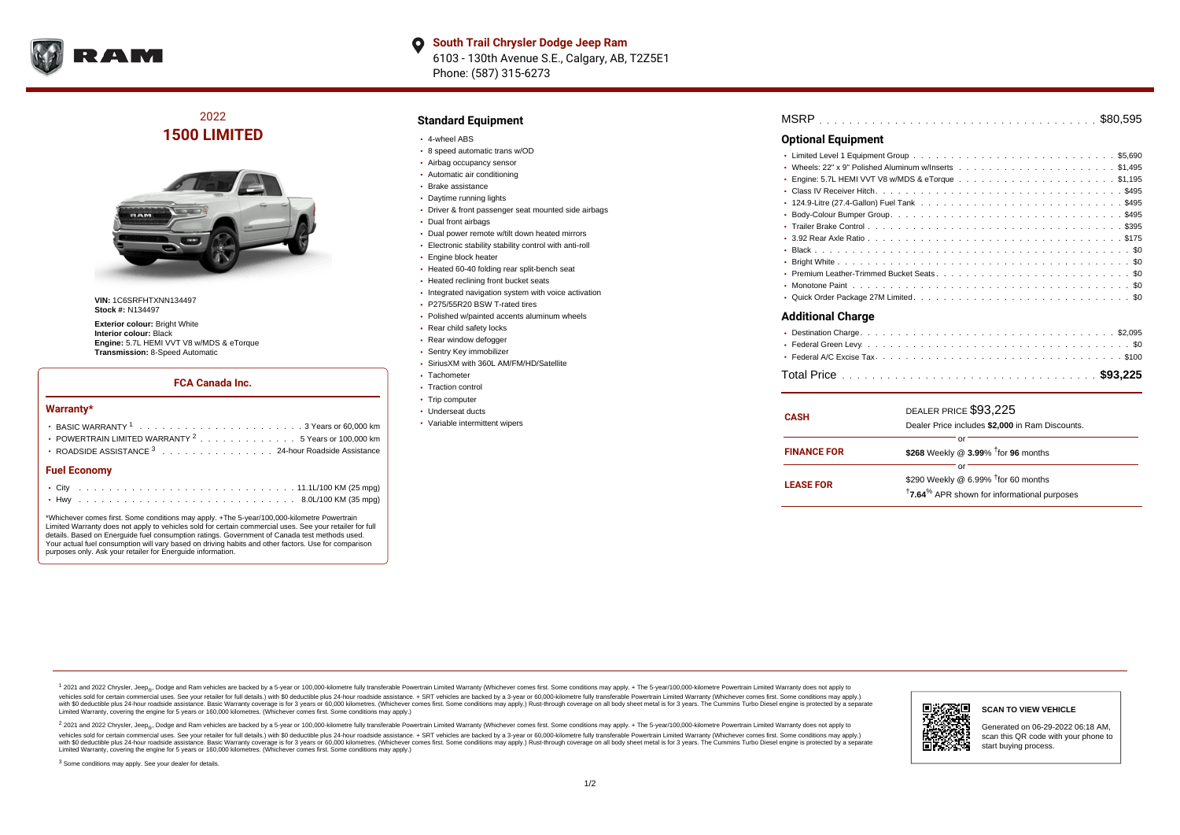

**South Trail Chrysler Dodge Jeep Ram**  $\bullet$ 6103 - 130th Avenue S.E., Calgary, AB, T2Z5E1 Phone: (587) 315-6273

2022 **1500 LIMITED**



**VIN:** 1C6SRFHTXNN134497 **Stock #:** N134497

**Exterior colour: Bright White Interior colour:** Black **Engine:** 5.7L HEMI VVT V8 w/MDS & eTorque **Transmission:** 8-Speed Automatic

#### **FCA Canada Inc.**

#### **Warranty\***

| • POWERTRAIN LIMITED WARRANTY <sup>2</sup> 5 Years or 100,000 km |
|------------------------------------------------------------------|
| ROADSIDE ASSISTANCE 3 24-hour Roadside Assistance                |
| <b>Fuel Economy</b>                                              |
|                                                                  |

\*Whichever comes first. Some conditions may apply. +The 5-year/100,000-kilometre Powertrain Limited Warranty does not apply to vehicles sold for certain commercial uses. See your retailer for full details. Based on Energuide fuel consumption ratings. Government of Canada test methods used. Your actual fuel consumption will vary based on driving habits and other factors. Use for comparison purposes only. Ask your retailer for Energuide information.

. . . . . . . . . . . . . . . . . . . . . . . . . . . . . . . . . . . . . . . . . . . Hwy 8.0L/100 KM (35 mpg)

### **Standard Equipment**

- 4-wheel ABS
- 8 speed automatic trans w/OD
- Airbag occupancy sensor
- Automatic air conditioning
- Brake assistance Daytime running lights
- 
- Driver & front passenger seat mounted side airbags
- Dual front airbags
- Dual power remote w/tilt down heated mirrors
- Electronic stability stability control with anti-roll
- **Engine block heater**
- Heated 60-40 folding rear split-bench seat
- Heated reclining front bucket seats
- Integrated navigation system with voice activation
- P275/55R20 BSW T-rated tires
- Polished w/painted accents aluminum wheels
- Rear child safety locks
- Rear window defogger
- Sentry Key immobilizer
- SiriusXM with 360L AM/FM/HD/Satellite
- Tachometer
- Traction control
- Trip computer
- Underseat ducts
- Variable intermittent wipers

| MSRP |  |  |  |  |  |  |  |  |  |  |  |  |  |  |  |  |  |  |  |  |  |  |  |  |  |  |  |  |  |  |  |  |  |  |  |  | 000E |  |
|------|--|--|--|--|--|--|--|--|--|--|--|--|--|--|--|--|--|--|--|--|--|--|--|--|--|--|--|--|--|--|--|--|--|--|--|--|------|--|
|------|--|--|--|--|--|--|--|--|--|--|--|--|--|--|--|--|--|--|--|--|--|--|--|--|--|--|--|--|--|--|--|--|--|--|--|--|------|--|

#### **Optional Equipment**

| Additional Charge |
|-------------------|

## . . . . . . . . . . . . . . . . . . . . . . . . . . . . . . . . . . . . . . . . . . . . . .

| <b>CASH</b>        | DEALER PRICE \$93.225<br>Dealer Price includes \$2,000 in Ram Discounts.                                                     |
|--------------------|------------------------------------------------------------------------------------------------------------------------------|
| <b>FINANCE FOR</b> | \$268 Weekly @ 3.99% $\dagger$ for 96 months                                                                                 |
| <b>LEASE FOR</b>   | Ωľ<br>\$290 Weekly @ 6.99% <sup>†</sup> for 60 months<br><sup>†</sup> 7.64 <sup>%</sup> APR shown for informational purposes |

<sup>1</sup> 2021 and 2022 Chrysler, Jeep<sub>®</sub>, Dodge and Ram vehicles are backed by a 5-year or 100,000-kilometre fully transferable Powertrain Limited Warranty (Whichever comes first. Some conditions may apply. + The 5-year/100,000 vehicles sold for certain commercial uses. See your retailer for full details.) with \$0 deductible plus 24 hour roadside assistance. + SRT vehicles are backed by a 3-year or 60,000-kilometre fully transferable Powertrain L versus and contract the mean of the contract of the contract with a contract with a contract the contract of the contract of the contract the contract of the contract of the contract of the contract of the contract of the Limited Warranty, covering the engine for 5 years or 160,000 kilometres. (Whichever comes first. Some conditions may apply.)

2 2021 and 2022 Chrysler, Jeep<sub>®</sub>, Dodge and Ram vehicles are backed by a 5-year or 100,000-kilometre fully transferable Powertrain Limited Warranty (Whichever comes first. Some conditions may apply. + The 5-year/100,000-k vehicles sold for certain commercial uses. See your retailer for full details.) with SO deductible plus 24-hour roadside assistance. + SRT vehicles are backed by a 3-year or 60.000-kilometre fully transferable Powertrain L with S0 deductible plus 24-hour roadside assistance. Basic Warranty coverage is for 3 years or 60,000 kilometres. (Whichever comes first. Some conditions may apply.) Rust-through coverage on all body sheet metal is for 3 y

<sup>3</sup> Some conditions may apply. See your dealer for details.



Generated on 06-29-2022 06:18 AM, scan this QR code with your phone to start buying process.